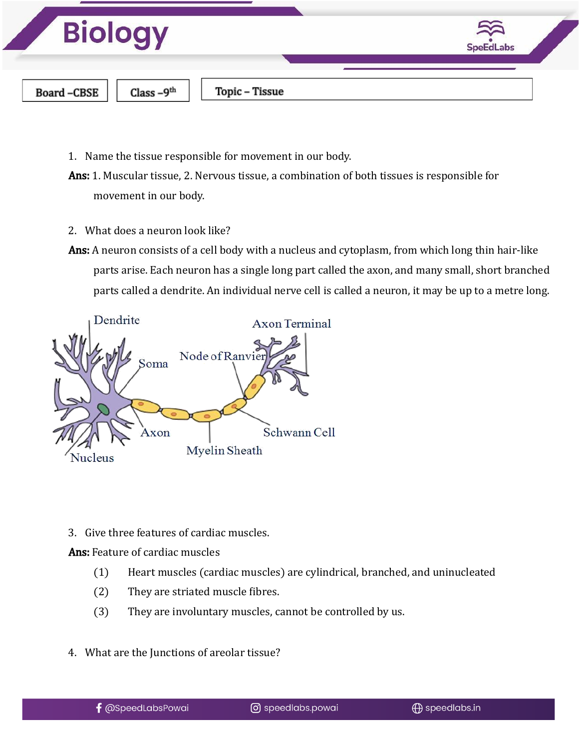

- 1. Name the tissue responsible for movement in our body.
- Ans: 1. Muscular tissue, 2. Nervous tissue, a combination of both tissues is responsible for movement in our body.
- 2. What does a neuron look like?
- Ans: A neuron consists of a cell body with a nucleus and cytoplasm, from which long thin hair-like parts arise. Each neuron has a single long part called the axon, and many small, short branched parts called a dendrite. An individual nerve cell is called a neuron, it may be up to a metre long.



3. Give three features of cardiac muscles.

Ans: Feature of cardiac muscles

- (1) Heart muscles (cardiac muscles) are cylindrical, branched, and uninucleated
- (2) They are striated muscle fibres.
- (3) They are involuntary muscles, cannot be controlled by us.
- 4. What are the Junctions of areolar tissue?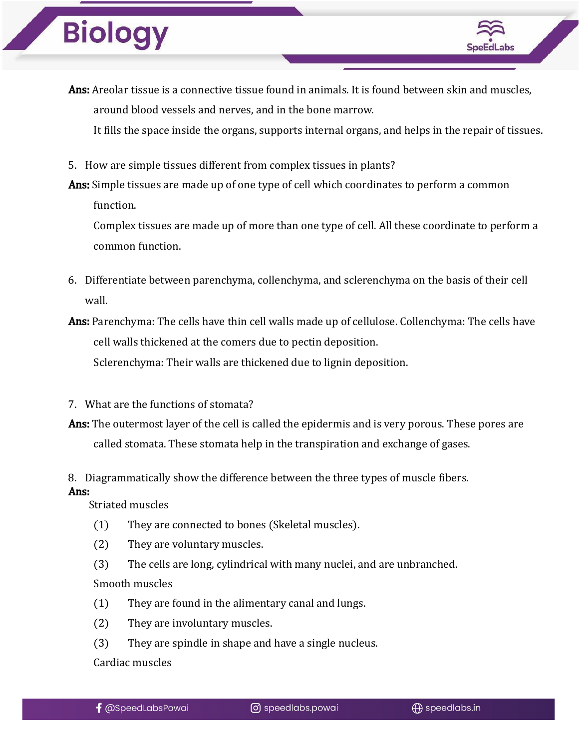

It fills the space inside the organs, supports internal organs, and helps in the repair of tissues.

5. How are simple tissues different from complex tissues in plants?

Ans: Simple tissues are made up of one type of cell which coordinates to perform a common function.

Complex tissues are made up of more than one type of cell. All these coordinate to perform a common function.

- 6. Differentiate between parenchyma, collenchyma, and sclerenchyma on the basis of their cell wall.
- Ans: Parenchyma: The cells have thin cell walls made up of cellulose. Collenchyma: The cells have cell walls thickened at the comers due to pectin deposition. Sclerenchyma: Their walls are thickened due to lignin deposition.
- 7. What are the functions of stomata?
- Ans: The outermost layer of the cell is called the epidermis and is very porous. These pores are called stomata. These stomata help in the transpiration and exchange of gases.

#### 8. Diagrammatically show the difference between the three types of muscle fibers. Ans:

Striated muscles

- (1) They are connected to bones (Skeletal muscles).
- (2) They are voluntary muscles.
- (3) The cells are long, cylindrical with many nuclei, and are unbranched. Smooth muscles
- (1) They are found in the alimentary canal and lungs.
- (2) They are involuntary muscles.
- (3) They are spindle in shape and have a single nucleus.

Cardiac muscles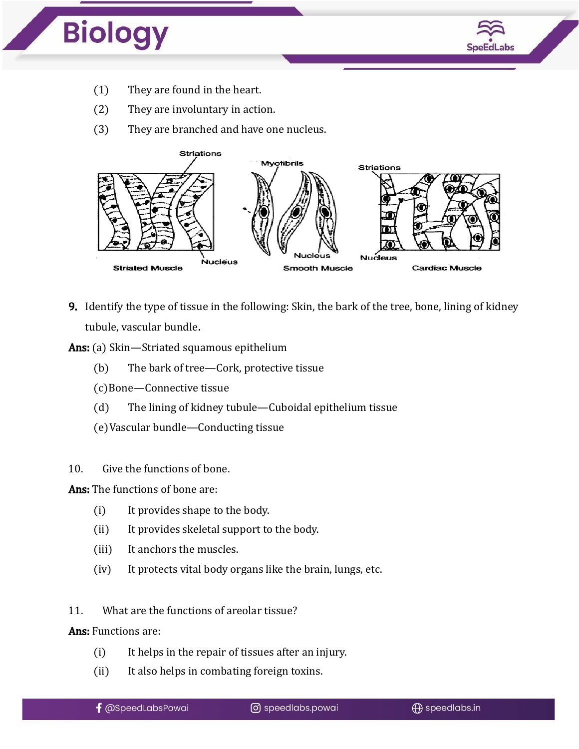

- (1) They are found in the heart.
- (2) They are involuntary in action.
- (3) They are branched and have one nucleus.



- 9. Identify the type of tissue in the following: Skin, the bark of the tree, bone, lining of kidney tubule, vascular bundle.
- Ans: (a) Skin—Striated squamous epithelium
	- (b) The bark of tree—Cork, protective tissue
	- (c)Bone—Connective tissue
	- (d) The lining of kidney tubule—Cuboidal epithelium tissue
	- (e)Vascular bundle—Conducting tissue
- 10. Give the functions of bone.

Ans: The functions of bone are:

- (i) It provides shape to the body.
- (ii) It provides skeletal support to the body.
- (iii) It anchors the muscles.
- (iv) It protects vital body organs like the brain, lungs, etc.
- 11. What are the functions of areolar tissue?

Ans: Functions are:

- (i) It helps in the repair of tissues after an injury.
- (ii) It also helps in combating foreign toxins.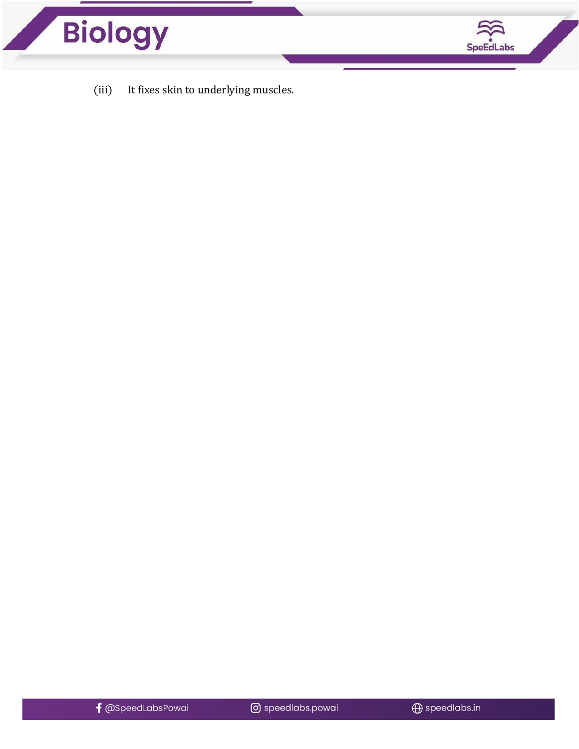



(iii) It fixes skin to underlying muscles.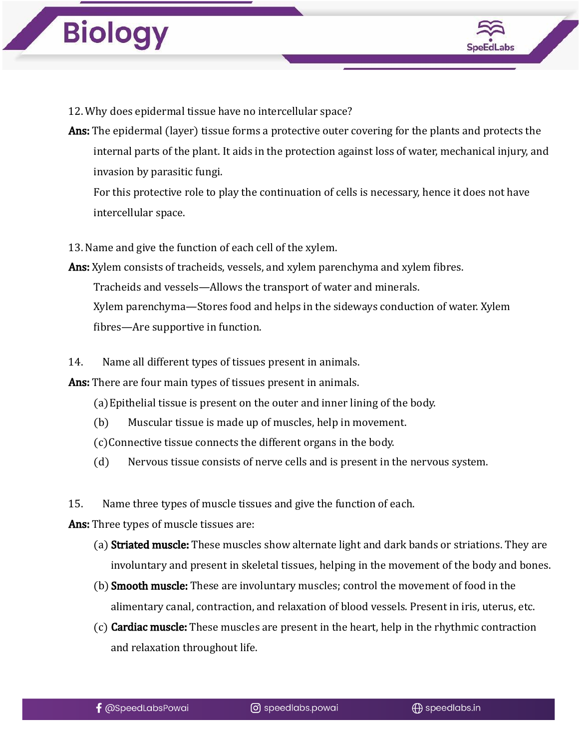

- 12. Why does epidermal tissue have no intercellular space?
- Ans: The epidermal (layer) tissue forms a protective outer covering for the plants and protects the internal parts of the plant. It aids in the protection against loss of water, mechanical injury, and invasion by parasitic fungi.

For this protective role to play the continuation of cells is necessary, hence it does not have intercellular space.

13. Name and give the function of each cell of the xylem.

- Ans: Xylem consists of tracheids, vessels, and xylem parenchyma and xylem fibres. Tracheids and vessels—Allows the transport of water and minerals. Xylem parenchyma—Stores food and helps in the sideways conduction of water. Xylem fibres—Are supportive in function.
- 14. Name all different types of tissues present in animals.

Ans: There are four main types of tissues present in animals.

- (a)Epithelial tissue is present on the outer and inner lining of the body.
- (b) Muscular tissue is made up of muscles, help in movement.
- (c)Connective tissue connects the different organs in the body.
- (d) Nervous tissue consists of nerve cells and is present in the nervous system.

15. Name three types of muscle tissues and give the function of each.

Ans: Three types of muscle tissues are:

- (a) **Striated muscle:** These muscles show alternate light and dark bands or striations. They are involuntary and present in skeletal tissues, helping in the movement of the body and bones.
- (b) **Smooth muscle:** These are involuntary muscles; control the movement of food in the alimentary canal, contraction, and relaxation of blood vessels. Present in iris, uterus, etc.
- $(c)$  Cardiac muscle: These muscles are present in the heart, help in the rhythmic contraction and relaxation throughout life.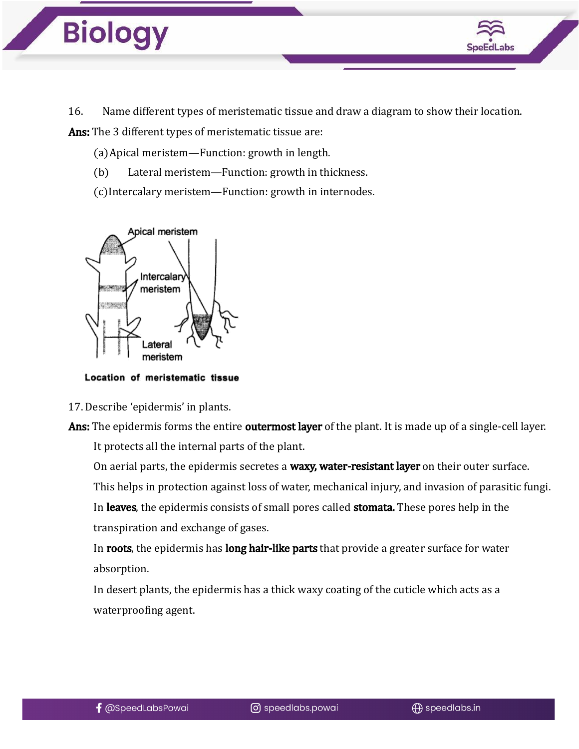

16. Name different types of meristematic tissue and draw a diagram to show their location.

Ans: The 3 different types of meristematic tissue are:

(a)Apical meristem—Function: growth in length.

- (b) Lateral meristem—Function: growth in thickness.
- (c)Intercalary meristem—Function: growth in internodes.



Location of meristematic tissue

17. Describe 'epidermis' in plants.

Ans: The epidermis forms the entire **outermost layer** of the plant. It is made up of a single-cell layer. It protects all the internal parts of the plant.

On aerial parts, the epidermis secretes a waxy, water-resistant layer on their outer surface.

This helps in protection against loss of water, mechanical injury, and invasion of parasitic fungi.

In leaves, the epidermis consists of small pores called stomata. These pores help in the transpiration and exchange of gases.

In roots, the epidermis has long hair-like parts that provide a greater surface for water absorption.

In desert plants, the epidermis has a thick waxy coating of the cuticle which acts as a waterproofing agent.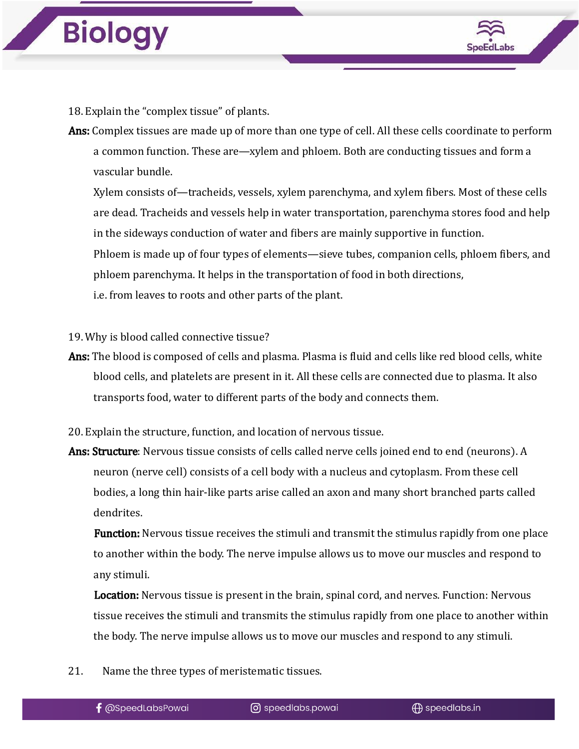

18. Explain the "complex tissue" of plants.

Ans: Complex tissues are made up of more than one type of cell. All these cells coordinate to perform a common function. These are—xylem and phloem. Both are conducting tissues and form a vascular bundle.

Xylem consists of—tracheids, vessels, xylem parenchyma, and xylem fibers. Most of these cells are dead. Tracheids and vessels help in water transportation, parenchyma stores food and help in the sideways conduction of water and fibers are mainly supportive in function. Phloem is made up of four types of elements—sieve tubes, companion cells, phloem fibers, and phloem parenchyma. It helps in the transportation of food in both directions, i.e. from leaves to roots and other parts of the plant.

19. Why is blood called connective tissue?

- Ans: The blood is composed of cells and plasma. Plasma is fluid and cells like red blood cells, white blood cells, and platelets are present in it. All these cells are connected due to plasma. It also transports food, water to different parts of the body and connects them.
- 20. Explain the structure, function, and location of nervous tissue.
- Ans: Structure: Nervous tissue consists of cells called nerve cells joined end to end (neurons). A neuron (nerve cell) consists of a cell body with a nucleus and cytoplasm. From these cell bodies, a long thin hair-like parts arise called an axon and many short branched parts called dendrites.

**Function:** Nervous tissue receives the stimuli and transmit the stimulus rapidly from one place to another within the body. The nerve impulse allows us to move our muscles and respond to any stimuli.

Location: Nervous tissue is present in the brain, spinal cord, and nerves. Function: Nervous tissue receives the stimuli and transmits the stimulus rapidly from one place to another within the body. The nerve impulse allows us to move our muscles and respond to any stimuli.

21. Name the three types of meristematic tissues.